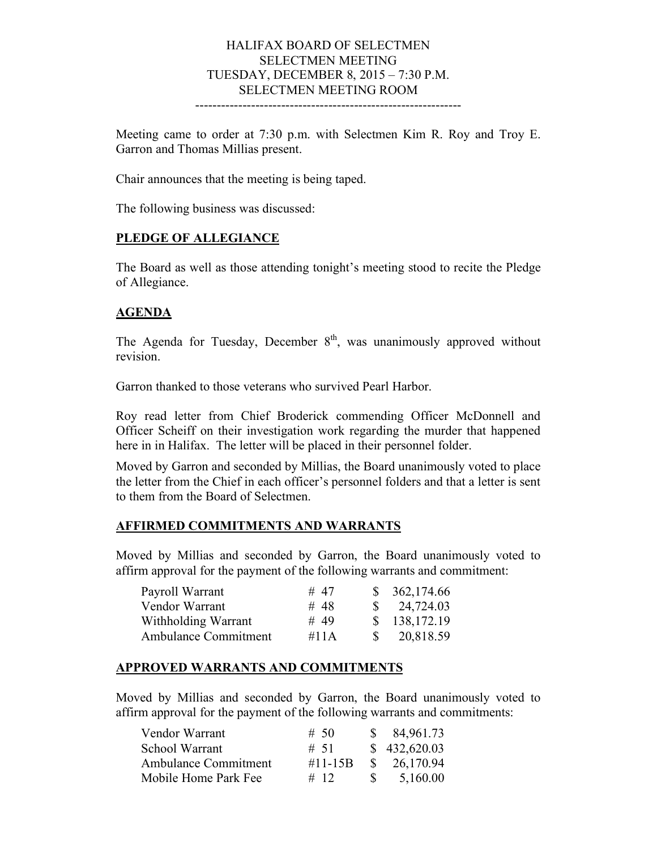## HALIFAX BOARD OF SELECTMEN SELECTMEN MEETING TUESDAY, DECEMBER 8, 2015 – 7:30 P.M. SELECTMEN MEETING ROOM

--------------------------------------------------------------

Meeting came to order at 7:30 p.m. with Selectmen Kim R. Roy and Troy E. Garron and Thomas Millias present.

Chair announces that the meeting is being taped.

The following business was discussed:

### **PLEDGE OF ALLEGIANCE**

The Board as well as those attending tonight's meeting stood to recite the Pledge of Allegiance.

### **AGENDA**

The Agenda for Tuesday, December  $8<sup>th</sup>$ , was unanimously approved without revision.

Garron thanked to those veterans who survived Pearl Harbor.

Roy read letter from Chief Broderick commending Officer McDonnell and Officer Scheiff on their investigation work regarding the murder that happened here in in Halifax. The letter will be placed in their personnel folder.

Moved by Garron and seconded by Millias, the Board unanimously voted to place the letter from the Chief in each officer's personnel folders and that a letter is sent to them from the Board of Selectmen.

### **AFFIRMED COMMITMENTS AND WARRANTS**

Moved by Millias and seconded by Garron, the Board unanimously voted to affirm approval for the payment of the following warrants and commitment:

| Payroll Warrant             | # 47 |              | \$362,174.66           |
|-----------------------------|------|--------------|------------------------|
| Vendor Warrant              | # 48 |              | $\frac{\$}{24,724.03}$ |
| Withholding Warrant         | # 49 |              | \$138,172.19           |
| <b>Ambulance Commitment</b> | #11A | <sup>S</sup> | 20,818.59              |

### **APPROVED WARRANTS AND COMMITMENTS**

Moved by Millias and seconded by Garron, the Board unanimously voted to affirm approval for the payment of the following warrants and commitments:

| # 50         |      | \$84,961.73            |
|--------------|------|------------------------|
| # 51         |      | \$432,620.03           |
| $\#11 - 15B$ |      | $\frac{\$}{26,170.94}$ |
| # 12         | -S – | 5,160.00               |
|              |      |                        |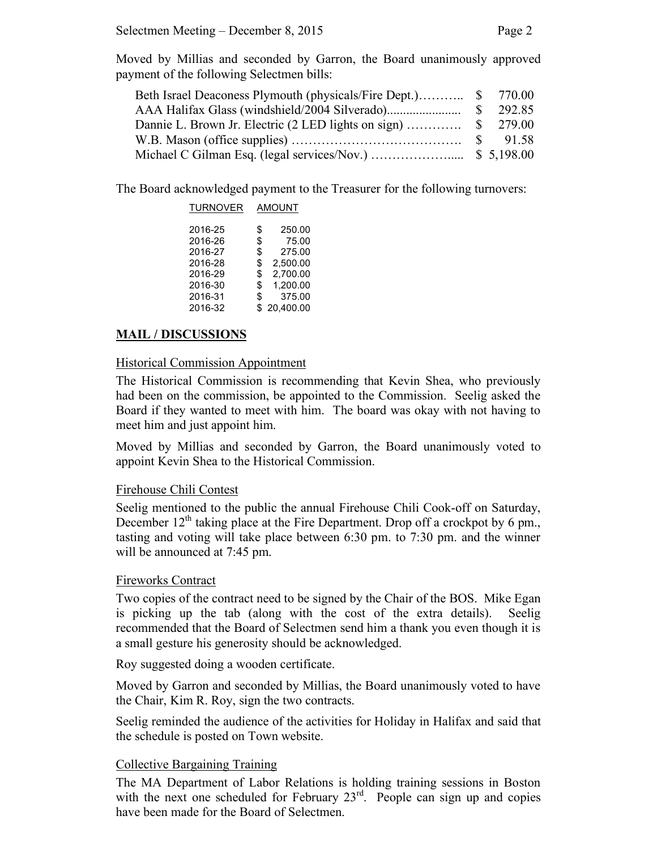Moved by Millias and seconded by Garron, the Board unanimously approved payment of the following Selectmen bills:

The Board acknowledged payment to the Treasurer for the following turnovers:

| <b>TURNOVER</b> | <b>AMOUNT</b> |           |
|-----------------|---------------|-----------|
| 2016-25         | \$            | 250.00    |
| 2016-26         | \$            | 75.00     |
| 2016-27         | \$            | 275.00    |
| 2016-28         | \$            | 2.500.00  |
| 2016-29         | \$            | 2.700.00  |
| 2016-30         | \$            | 1.200.00  |
| 2016-31         | \$            | 375.00    |
| 2016-32         | \$            | 20.400.00 |

# **MAIL / DISCUSSIONS**

## Historical Commission Appointment

The Historical Commission is recommending that Kevin Shea, who previously had been on the commission, be appointed to the Commission. Seelig asked the Board if they wanted to meet with him. The board was okay with not having to meet him and just appoint him.

Moved by Millias and seconded by Garron, the Board unanimously voted to appoint Kevin Shea to the Historical Commission.

## Firehouse Chili Contest

Seelig mentioned to the public the annual Firehouse Chili Cook-off on Saturday, December  $12<sup>th</sup>$  taking place at the Fire Department. Drop off a crockpot by 6 pm., tasting and voting will take place between 6:30 pm. to 7:30 pm. and the winner will be announced at 7:45 pm.

## Fireworks Contract

Two copies of the contract need to be signed by the Chair of the BOS. Mike Egan is picking up the tab (along with the cost of the extra details). Seelig recommended that the Board of Selectmen send him a thank you even though it is a small gesture his generosity should be acknowledged.

Roy suggested doing a wooden certificate.

Moved by Garron and seconded by Millias, the Board unanimously voted to have the Chair, Kim R. Roy, sign the two contracts.

Seelig reminded the audience of the activities for Holiday in Halifax and said that the schedule is posted on Town website.

## Collective Bargaining Training

The MA Department of Labor Relations is holding training sessions in Boston with the next one scheduled for February  $23<sup>rd</sup>$ . People can sign up and copies have been made for the Board of Selectmen.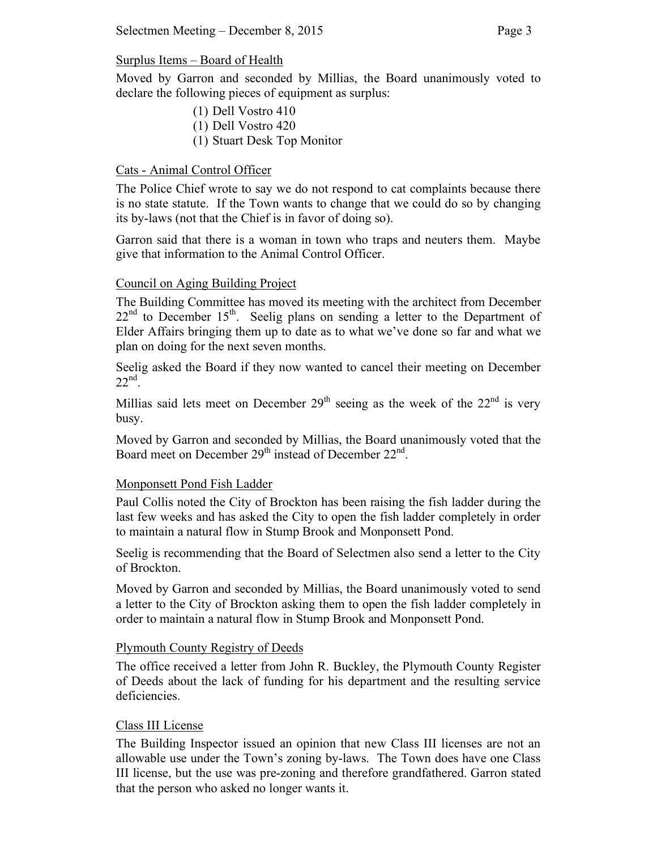## Surplus Items – Board of Health

Moved by Garron and seconded by Millias, the Board unanimously voted to declare the following pieces of equipment as surplus:

- (1) Dell Vostro 410
- (1) Dell Vostro 420
- (1) Stuart Desk Top Monitor

# Cats - Animal Control Officer

The Police Chief wrote to say we do not respond to cat complaints because there is no state statute. If the Town wants to change that we could do so by changing its by-laws (not that the Chief is in favor of doing so).

Garron said that there is a woman in town who traps and neuters them. Maybe give that information to the Animal Control Officer.

# Council on Aging Building Project

The Building Committee has moved its meeting with the architect from December  $22<sup>nd</sup>$  to December 15<sup>th</sup>. Seelig plans on sending a letter to the Department of Elder Affairs bringing them up to date as to what we've done so far and what we plan on doing for the next seven months.

Seelig asked the Board if they now wanted to cancel their meeting on December  $22<sup>nd</sup>$ 

Millias said lets meet on December  $29<sup>th</sup>$  seeing as the week of the  $22<sup>nd</sup>$  is very busy.

Moved by Garron and seconded by Millias, the Board unanimously voted that the Board meet on December 29<sup>th</sup> instead of December 22<sup>nd</sup>.

## Monponsett Pond Fish Ladder

Paul Collis noted the City of Brockton has been raising the fish ladder during the last few weeks and has asked the City to open the fish ladder completely in order to maintain a natural flow in Stump Brook and Monponsett Pond.

Seelig is recommending that the Board of Selectmen also send a letter to the City of Brockton.

Moved by Garron and seconded by Millias, the Board unanimously voted to send a letter to the City of Brockton asking them to open the fish ladder completely in order to maintain a natural flow in Stump Brook and Monponsett Pond.

## Plymouth County Registry of Deeds

The office received a letter from John R. Buckley, the Plymouth County Register of Deeds about the lack of funding for his department and the resulting service deficiencies.

## Class III License

The Building Inspector issued an opinion that new Class III licenses are not an allowable use under the Town's zoning by-laws. The Town does have one Class III license, but the use was pre-zoning and therefore grandfathered. Garron stated that the person who asked no longer wants it.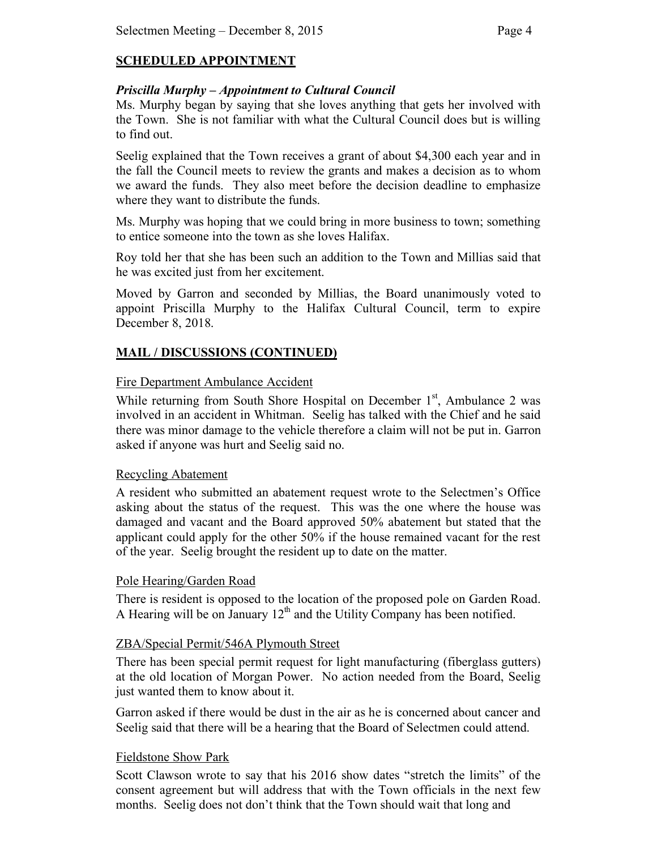# **SCHEDULED APPOINTMENT**

## *Priscilla Murphy – Appointment to Cultural Council*

Ms. Murphy began by saying that she loves anything that gets her involved with the Town. She is not familiar with what the Cultural Council does but is willing to find out.

Seelig explained that the Town receives a grant of about \$4,300 each year and in the fall the Council meets to review the grants and makes a decision as to whom we award the funds. They also meet before the decision deadline to emphasize where they want to distribute the funds.

Ms. Murphy was hoping that we could bring in more business to town; something to entice someone into the town as she loves Halifax.

Roy told her that she has been such an addition to the Town and Millias said that he was excited just from her excitement.

Moved by Garron and seconded by Millias, the Board unanimously voted to appoint Priscilla Murphy to the Halifax Cultural Council, term to expire December 8, 2018.

# **MAIL / DISCUSSIONS (CONTINUED)**

### Fire Department Ambulance Accident

While returning from South Shore Hospital on December  $1<sup>st</sup>$ , Ambulance 2 was involved in an accident in Whitman. Seelig has talked with the Chief and he said there was minor damage to the vehicle therefore a claim will not be put in. Garron asked if anyone was hurt and Seelig said no.

### Recycling Abatement

A resident who submitted an abatement request wrote to the Selectmen's Office asking about the status of the request. This was the one where the house was damaged and vacant and the Board approved 50% abatement but stated that the applicant could apply for the other 50% if the house remained vacant for the rest of the year. Seelig brought the resident up to date on the matter.

## Pole Hearing/Garden Road

There is resident is opposed to the location of the proposed pole on Garden Road. A Hearing will be on January  $12<sup>th</sup>$  and the Utility Company has been notified.

### ZBA/Special Permit/546A Plymouth Street

There has been special permit request for light manufacturing (fiberglass gutters) at the old location of Morgan Power. No action needed from the Board, Seelig just wanted them to know about it.

Garron asked if there would be dust in the air as he is concerned about cancer and Seelig said that there will be a hearing that the Board of Selectmen could attend.

## Fieldstone Show Park

Scott Clawson wrote to say that his 2016 show dates "stretch the limits" of the consent agreement but will address that with the Town officials in the next few months. Seelig does not don't think that the Town should wait that long and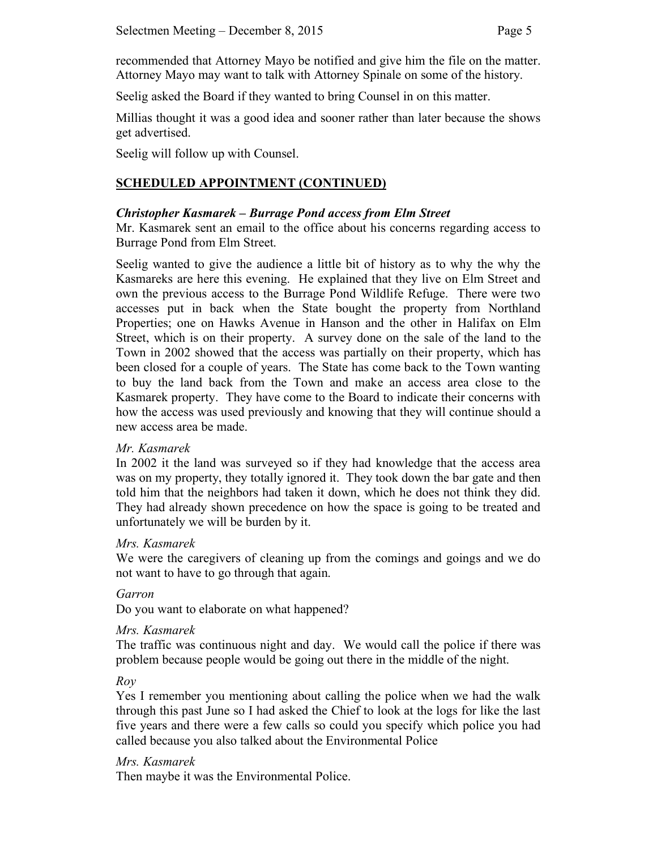recommended that Attorney Mayo be notified and give him the file on the matter. Attorney Mayo may want to talk with Attorney Spinale on some of the history.

Seelig asked the Board if they wanted to bring Counsel in on this matter.

Millias thought it was a good idea and sooner rather than later because the shows get advertised.

Seelig will follow up with Counsel.

## **SCHEDULED APPOINTMENT (CONTINUED)**

### *Christopher Kasmarek – Burrage Pond access from Elm Street*

Mr. Kasmarek sent an email to the office about his concerns regarding access to Burrage Pond from Elm Street.

Seelig wanted to give the audience a little bit of history as to why the why the Kasmareks are here this evening. He explained that they live on Elm Street and own the previous access to the Burrage Pond Wildlife Refuge. There were two accesses put in back when the State bought the property from Northland Properties; one on Hawks Avenue in Hanson and the other in Halifax on Elm Street, which is on their property. A survey done on the sale of the land to the Town in 2002 showed that the access was partially on their property, which has been closed for a couple of years. The State has come back to the Town wanting to buy the land back from the Town and make an access area close to the Kasmarek property. They have come to the Board to indicate their concerns with how the access was used previously and knowing that they will continue should a new access area be made.

### *Mr. Kasmarek*

In 2002 it the land was surveyed so if they had knowledge that the access area was on my property, they totally ignored it. They took down the bar gate and then told him that the neighbors had taken it down, which he does not think they did. They had already shown precedence on how the space is going to be treated and unfortunately we will be burden by it.

### *Mrs. Kasmarek*

We were the caregivers of cleaning up from the comings and goings and we do not want to have to go through that again.

### *Garron*

Do you want to elaborate on what happened?

### *Mrs. Kasmarek*

The traffic was continuous night and day. We would call the police if there was problem because people would be going out there in the middle of the night.

*Roy*

Yes I remember you mentioning about calling the police when we had the walk through this past June so I had asked the Chief to look at the logs for like the last five years and there were a few calls so could you specify which police you had called because you also talked about the Environmental Police

#### *Mrs. Kasmarek*

Then maybe it was the Environmental Police.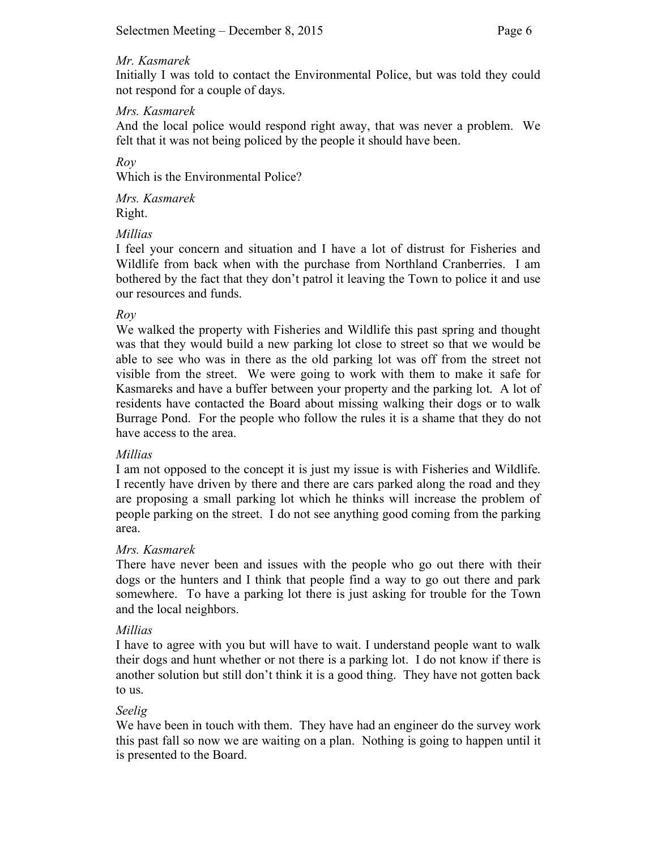Initially I was told to contact the Environmental Police, but was told they could not respond for a couple of days.

### *Mrs. Kasmarek*

And the local police would respond right away, that was never a problem. We felt that it was not being policed by the people it should have been.

*Roy*

Which is the Environmental Police?

*Mrs. Kasmarek* Right.

## *Millias*

I feel your concern and situation and I have a lot of distrust for Fisheries and Wildlife from back when with the purchase from Northland Cranberries. I am bothered by the fact that they don't patrol it leaving the Town to police it and use our resources and funds.

### *Roy*

We walked the property with Fisheries and Wildlife this past spring and thought was that they would build a new parking lot close to street so that we would be able to see who was in there as the old parking lot was off from the street not visible from the street. We were going to work with them to make it safe for Kasmareks and have a buffer between your property and the parking lot. A lot of residents have contacted the Board about missing walking their dogs or to walk Burrage Pond. For the people who follow the rules it is a shame that they do not have access to the area.

### *Millias*

I am not opposed to the concept it is just my issue is with Fisheries and Wildlife. I recently have driven by there and there are cars parked along the road and they are proposing a small parking lot which he thinks will increase the problem of people parking on the street. I do not see anything good coming from the parking area.

### *Mrs. Kasmarek*

There have never been and issues with the people who go out there with their dogs or the hunters and I think that people find a way to go out there and park somewhere. To have a parking lot there is just asking for trouble for the Town and the local neighbors.

### *Millias*

I have to agree with you but will have to wait. I understand people want to walk their dogs and hunt whether or not there is a parking lot. I do not know if there is another solution but still don't think it is a good thing. They have not gotten back to us.

## *Seelig*

We have been in touch with them. They have had an engineer do the survey work this past fall so now we are waiting on a plan. Nothing is going to happen until it is presented to the Board.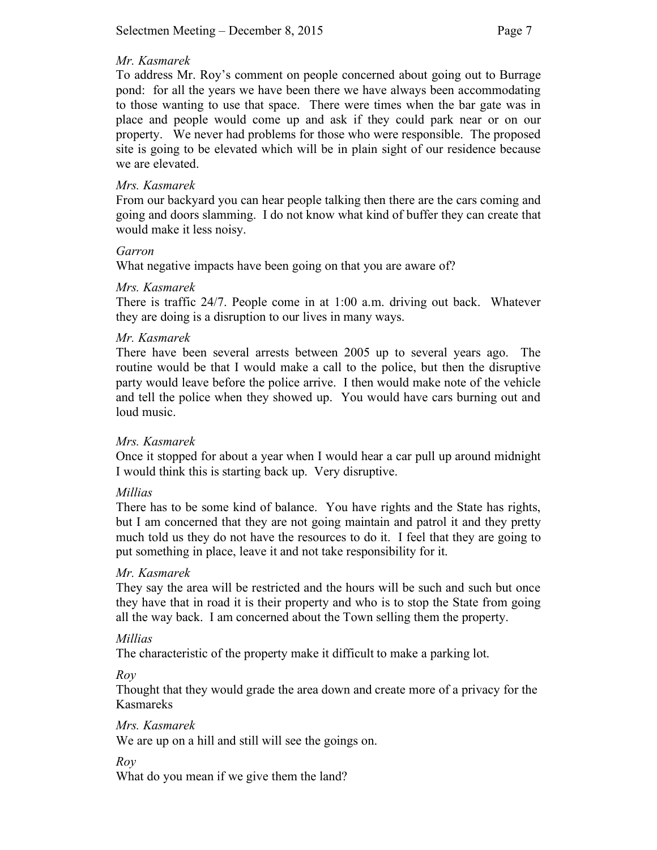To address Mr. Roy's comment on people concerned about going out to Burrage pond: for all the years we have been there we have always been accommodating to those wanting to use that space. There were times when the bar gate was in place and people would come up and ask if they could park near or on our property. We never had problems for those who were responsible. The proposed site is going to be elevated which will be in plain sight of our residence because we are elevated.

### *Mrs. Kasmarek*

From our backyard you can hear people talking then there are the cars coming and going and doors slamming. I do not know what kind of buffer they can create that would make it less noisy.

### *Garron*

What negative impacts have been going on that you are aware of?

### *Mrs. Kasmarek*

There is traffic 24/7. People come in at 1:00 a.m. driving out back. Whatever they are doing is a disruption to our lives in many ways.

### *Mr. Kasmarek*

There have been several arrests between 2005 up to several years ago. The routine would be that I would make a call to the police, but then the disruptive party would leave before the police arrive. I then would make note of the vehicle and tell the police when they showed up. You would have cars burning out and loud music.

## *Mrs. Kasmarek*

Once it stopped for about a year when I would hear a car pull up around midnight I would think this is starting back up. Very disruptive.

## *Millias*

There has to be some kind of balance. You have rights and the State has rights, but I am concerned that they are not going maintain and patrol it and they pretty much told us they do not have the resources to do it. I feel that they are going to put something in place, leave it and not take responsibility for it.

## *Mr. Kasmarek*

They say the area will be restricted and the hours will be such and such but once they have that in road it is their property and who is to stop the State from going all the way back. I am concerned about the Town selling them the property.

### *Millias*

The characteristic of the property make it difficult to make a parking lot.

*Roy* 

Thought that they would grade the area down and create more of a privacy for the Kasmareks

*Mrs. Kasmarek*

We are up on a hill and still will see the goings on.

*Roy*

What do you mean if we give them the land?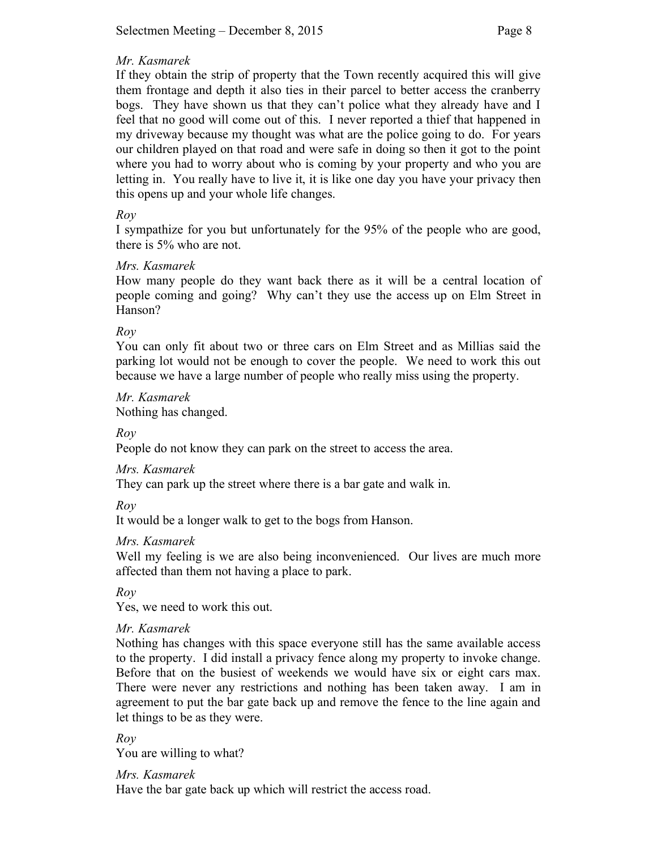If they obtain the strip of property that the Town recently acquired this will give them frontage and depth it also ties in their parcel to better access the cranberry bogs. They have shown us that they can't police what they already have and I feel that no good will come out of this. I never reported a thief that happened in my driveway because my thought was what are the police going to do. For years our children played on that road and were safe in doing so then it got to the point where you had to worry about who is coming by your property and who you are letting in. You really have to live it, it is like one day you have your privacy then this opens up and your whole life changes.

### *Roy*

I sympathize for you but unfortunately for the 95% of the people who are good, there is 5% who are not.

### *Mrs. Kasmarek*

How many people do they want back there as it will be a central location of people coming and going? Why can't they use the access up on Elm Street in Hanson?

### *Roy*

You can only fit about two or three cars on Elm Street and as Millias said the parking lot would not be enough to cover the people. We need to work this out because we have a large number of people who really miss using the property.

*Mr. Kasmarek* Nothing has changed.

*Roy*

People do not know they can park on the street to access the area.

## *Mrs. Kasmarek*

They can park up the street where there is a bar gate and walk in.

*Roy*

It would be a longer walk to get to the bogs from Hanson.

### *Mrs. Kasmarek*

Well my feeling is we are also being inconvenienced. Our lives are much more affected than them not having a place to park.

*Roy*

Yes, we need to work this out.

### *Mr. Kasmarek*

Nothing has changes with this space everyone still has the same available access to the property. I did install a privacy fence along my property to invoke change. Before that on the busiest of weekends we would have six or eight cars max. There were never any restrictions and nothing has been taken away. I am in agreement to put the bar gate back up and remove the fence to the line again and let things to be as they were.

*Roy*

You are willing to what?

*Mrs. Kasmarek*

Have the bar gate back up which will restrict the access road.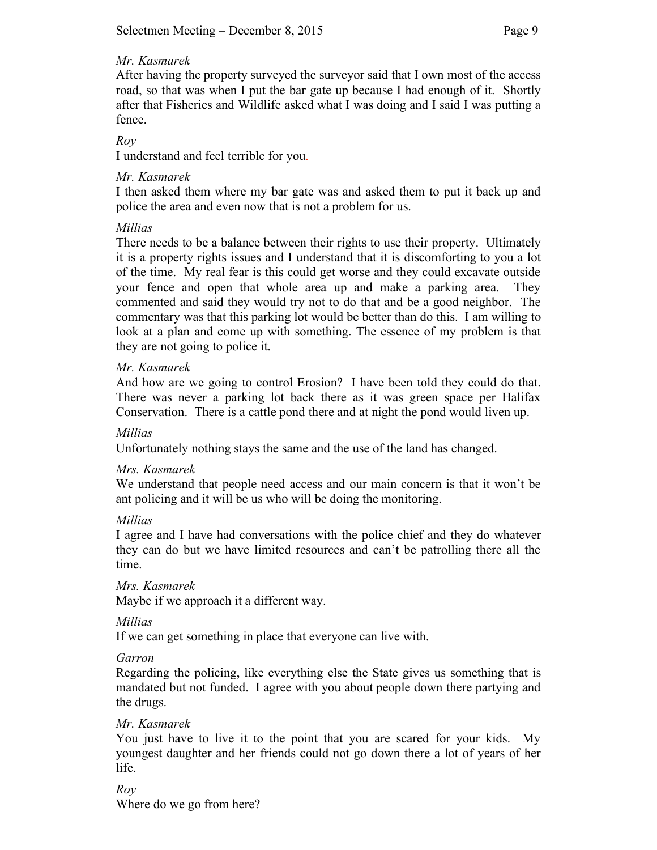After having the property surveyed the surveyor said that I own most of the access road, so that was when I put the bar gate up because I had enough of it. Shortly after that Fisheries and Wildlife asked what I was doing and I said I was putting a fence.

## *Roy*

I understand and feel terrible for you.

## *Mr. Kasmarek*

I then asked them where my bar gate was and asked them to put it back up and police the area and even now that is not a problem for us.

## *Millias*

There needs to be a balance between their rights to use their property. Ultimately it is a property rights issues and I understand that it is discomforting to you a lot of the time. My real fear is this could get worse and they could excavate outside your fence and open that whole area up and make a parking area. They commented and said they would try not to do that and be a good neighbor. The commentary was that this parking lot would be better than do this. I am willing to look at a plan and come up with something. The essence of my problem is that they are not going to police it.

### *Mr. Kasmarek*

And how are we going to control Erosion? I have been told they could do that. There was never a parking lot back there as it was green space per Halifax Conservation. There is a cattle pond there and at night the pond would liven up.

### *Millias*

Unfortunately nothing stays the same and the use of the land has changed.

### *Mrs. Kasmarek*

We understand that people need access and our main concern is that it won't be ant policing and it will be us who will be doing the monitoring.

### *Millias*

I agree and I have had conversations with the police chief and they do whatever they can do but we have limited resources and can't be patrolling there all the time.

## *Mrs. Kasmarek*

Maybe if we approach it a different way.

### *Millias*

If we can get something in place that everyone can live with.

### *Garron*

Regarding the policing, like everything else the State gives us something that is mandated but not funded. I agree with you about people down there partying and the drugs.

## *Mr. Kasmarek*

You just have to live it to the point that you are scared for your kids. My youngest daughter and her friends could not go down there a lot of years of her life.

## *Roy*

Where do we go from here?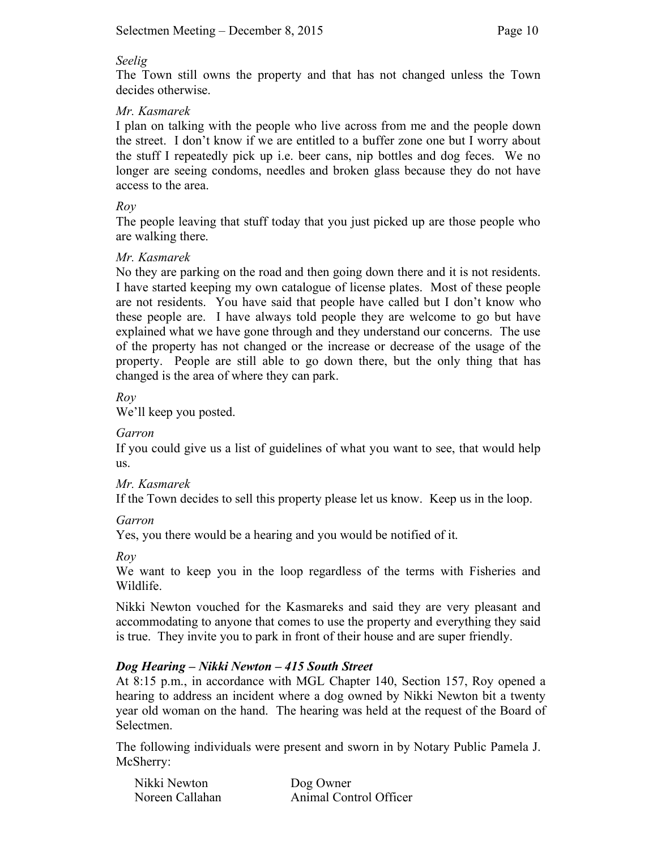### *Seelig*

The Town still owns the property and that has not changed unless the Town decides otherwise.

## *Mr. Kasmarek*

I plan on talking with the people who live across from me and the people down the street. I don't know if we are entitled to a buffer zone one but I worry about the stuff I repeatedly pick up i.e. beer cans, nip bottles and dog feces. We no longer are seeing condoms, needles and broken glass because they do not have access to the area.

## *Roy*

The people leaving that stuff today that you just picked up are those people who are walking there.

## *Mr. Kasmarek*

No they are parking on the road and then going down there and it is not residents. I have started keeping my own catalogue of license plates. Most of these people are not residents. You have said that people have called but I don't know who these people are. I have always told people they are welcome to go but have explained what we have gone through and they understand our concerns. The use of the property has not changed or the increase or decrease of the usage of the property. People are still able to go down there, but the only thing that has changed is the area of where they can park.

# *Roy*

We'll keep you posted.

## *Garron*

If you could give us a list of guidelines of what you want to see, that would help us.

## *Mr. Kasmarek*

If the Town decides to sell this property please let us know. Keep us in the loop.

## *Garron*

Yes, you there would be a hearing and you would be notified of it.

*Roy*

We want to keep you in the loop regardless of the terms with Fisheries and Wildlife.

Nikki Newton vouched for the Kasmareks and said they are very pleasant and accommodating to anyone that comes to use the property and everything they said is true. They invite you to park in front of their house and are super friendly.

# *Dog Hearing – Nikki Newton – 415 South Street*

At 8:15 p.m., in accordance with MGL Chapter 140, Section 157, Roy opened a hearing to address an incident where a dog owned by Nikki Newton bit a twenty year old woman on the hand. The hearing was held at the request of the Board of Selectmen.

The following individuals were present and sworn in by Notary Public Pamela J. McSherry:

| Nikki Newton    | Dog Owner              |
|-----------------|------------------------|
| Noreen Callahan | Animal Control Officer |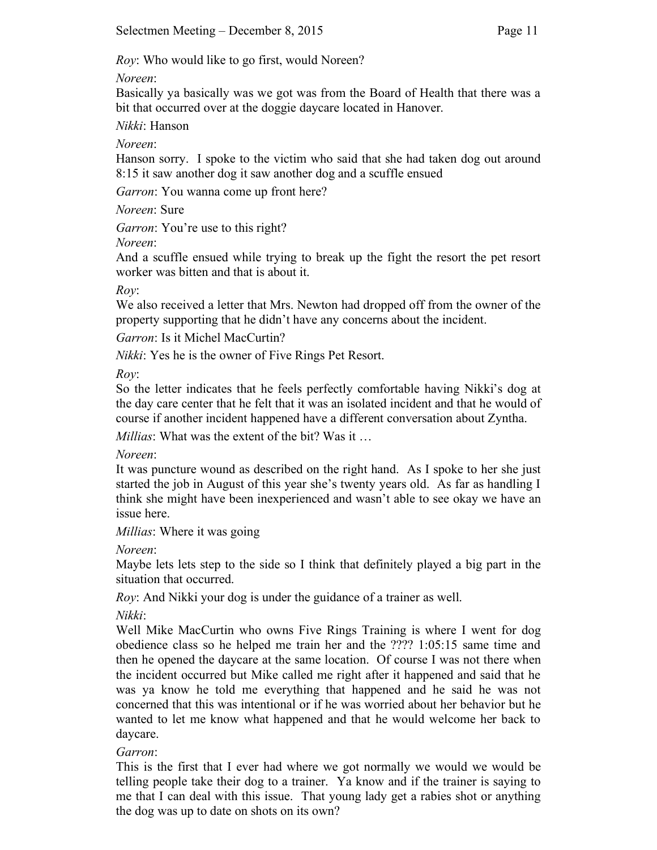*Roy*: Who would like to go first, would Noreen?

*Noreen*:

Basically ya basically was we got was from the Board of Health that there was a bit that occurred over at the doggie daycare located in Hanover.

*Nikki*: Hanson

*Noreen*:

Hanson sorry. I spoke to the victim who said that she had taken dog out around 8:15 it saw another dog it saw another dog and a scuffle ensued

*Garron*: You wanna come up front here?

*Noreen*: Sure

*Garron*: You're use to this right?

*Noreen*:

And a scuffle ensued while trying to break up the fight the resort the pet resort worker was bitten and that is about it.

*Roy*:

We also received a letter that Mrs. Newton had dropped off from the owner of the property supporting that he didn't have any concerns about the incident.

*Garron*: Is it Michel MacCurtin?

*Nikki*: Yes he is the owner of Five Rings Pet Resort.

*Roy*:

So the letter indicates that he feels perfectly comfortable having Nikki's dog at the day care center that he felt that it was an isolated incident and that he would of course if another incident happened have a different conversation about Zyntha.

*Millias*: What was the extent of the bit? Was it …

*Noreen*:

It was puncture wound as described on the right hand. As I spoke to her she just started the job in August of this year she's twenty years old. As far as handling I think she might have been inexperienced and wasn't able to see okay we have an issue here.

*Millias*: Where it was going

*Noreen*:

Maybe lets lets step to the side so I think that definitely played a big part in the situation that occurred.

*Roy*: And Nikki your dog is under the guidance of a trainer as well.

*Nikki*:

Well Mike MacCurtin who owns Five Rings Training is where I went for dog obedience class so he helped me train her and the ???? 1:05:15 same time and then he opened the daycare at the same location. Of course I was not there when the incident occurred but Mike called me right after it happened and said that he was ya know he told me everything that happened and he said he was not concerned that this was intentional or if he was worried about her behavior but he wanted to let me know what happened and that he would welcome her back to daycare.

# *Garron*:

This is the first that I ever had where we got normally we would we would be telling people take their dog to a trainer. Ya know and if the trainer is saying to me that I can deal with this issue. That young lady get a rabies shot or anything the dog was up to date on shots on its own?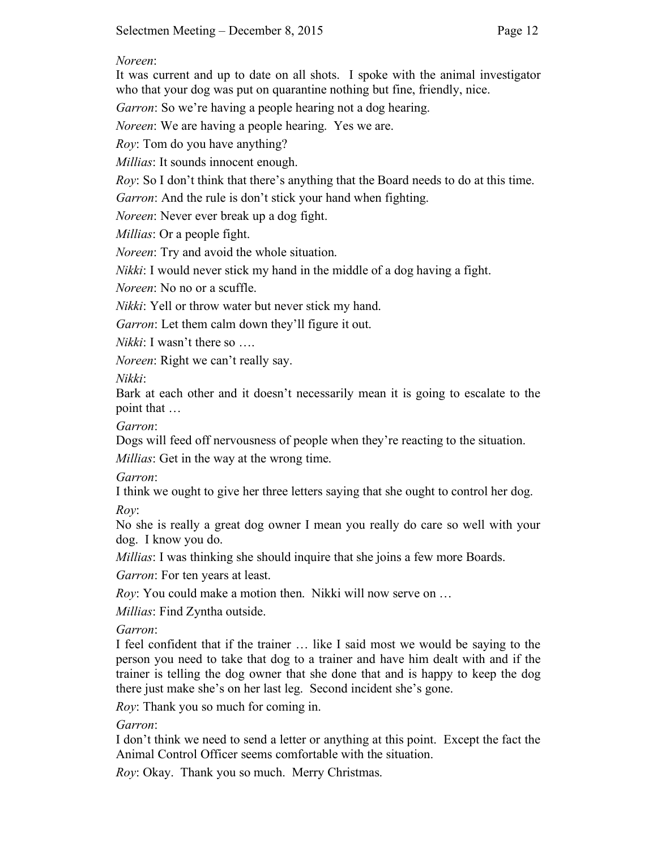### *Noreen*:

It was current and up to date on all shots. I spoke with the animal investigator who that your dog was put on quarantine nothing but fine, friendly, nice.

*Garron*: So we're having a people hearing not a dog hearing.

*Noreen*: We are having a people hearing. Yes we are.

*Roy*: Tom do you have anything?

*Millias*: It sounds innocent enough.

*Roy*: So I don't think that there's anything that the Board needs to do at this time.

*Garron*: And the rule is don't stick your hand when fighting.

*Noreen*: Never ever break up a dog fight.

*Millias*: Or a people fight.

*Noreen*: Try and avoid the whole situation.

*Nikki*: I would never stick my hand in the middle of a dog having a fight.

*Noreen*: No no or a scuffle.

*Nikki*: Yell or throw water but never stick my hand.

*Garron*: Let them calm down they'll figure it out.

*Nikki*: I wasn't there so ...

*Noreen*: Right we can't really say.

*Nikki*:

Bark at each other and it doesn't necessarily mean it is going to escalate to the point that …

*Garron*:

Dogs will feed off nervousness of people when they're reacting to the situation.

*Millias*: Get in the way at the wrong time.

*Garron*:

I think we ought to give her three letters saying that she ought to control her dog. *Roy*:

No she is really a great dog owner I mean you really do care so well with your dog. I know you do.

*Millias*: I was thinking she should inquire that she joins a few more Boards.

*Garron*: For ten years at least.

*Roy*: You could make a motion then. Nikki will now serve on …

*Millias*: Find Zyntha outside.

## *Garron*:

I feel confident that if the trainer … like I said most we would be saying to the person you need to take that dog to a trainer and have him dealt with and if the trainer is telling the dog owner that she done that and is happy to keep the dog there just make she's on her last leg. Second incident she's gone.

*Roy*: Thank you so much for coming in.

*Garron*:

I don't think we need to send a letter or anything at this point. Except the fact the Animal Control Officer seems comfortable with the situation.

*Roy*: Okay. Thank you so much. Merry Christmas.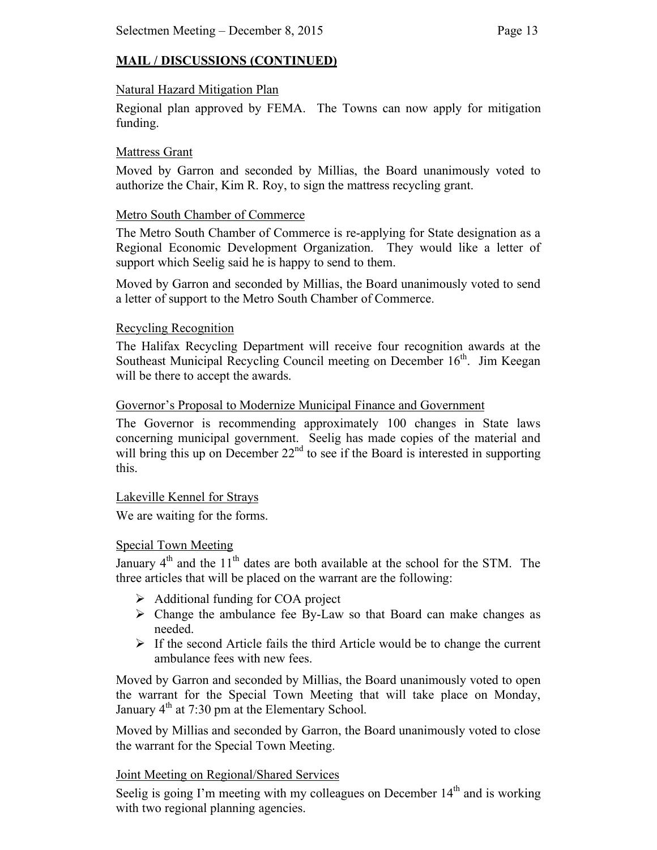# **MAIL / DISCUSSIONS (CONTINUED)**

#### Natural Hazard Mitigation Plan

Regional plan approved by FEMA. The Towns can now apply for mitigation funding.

### Mattress Grant

Moved by Garron and seconded by Millias, the Board unanimously voted to authorize the Chair, Kim R. Roy, to sign the mattress recycling grant.

### Metro South Chamber of Commerce

The Metro South Chamber of Commerce is re-applying for State designation as a Regional Economic Development Organization. They would like a letter of support which Seelig said he is happy to send to them.

Moved by Garron and seconded by Millias, the Board unanimously voted to send a letter of support to the Metro South Chamber of Commerce.

### Recycling Recognition

The Halifax Recycling Department will receive four recognition awards at the Southeast Municipal Recycling Council meeting on December 16<sup>th</sup>. Jim Keegan will be there to accept the awards.

### Governor's Proposal to Modernize Municipal Finance and Government

The Governor is recommending approximately 100 changes in State laws concerning municipal government. Seelig has made copies of the material and will bring this up on December 22<sup>nd</sup> to see if the Board is interested in supporting this.

### Lakeville Kennel for Strays

We are waiting for the forms.

### Special Town Meeting

January  $4<sup>th</sup>$  and the  $11<sup>th</sup>$  dates are both available at the school for the STM. The three articles that will be placed on the warrant are the following:

- $\triangleright$  Additional funding for COA project
- $\triangleright$  Change the ambulance fee By-Law so that Board can make changes as needed.
- $\triangleright$  If the second Article fails the third Article would be to change the current ambulance fees with new fees.

Moved by Garron and seconded by Millias, the Board unanimously voted to open the warrant for the Special Town Meeting that will take place on Monday, January  $4<sup>th</sup>$  at 7:30 pm at the Elementary School.

Moved by Millias and seconded by Garron, the Board unanimously voted to close the warrant for the Special Town Meeting.

## Joint Meeting on Regional/Shared Services

Seelig is going I'm meeting with my colleagues on December  $14<sup>th</sup>$  and is working with two regional planning agencies.